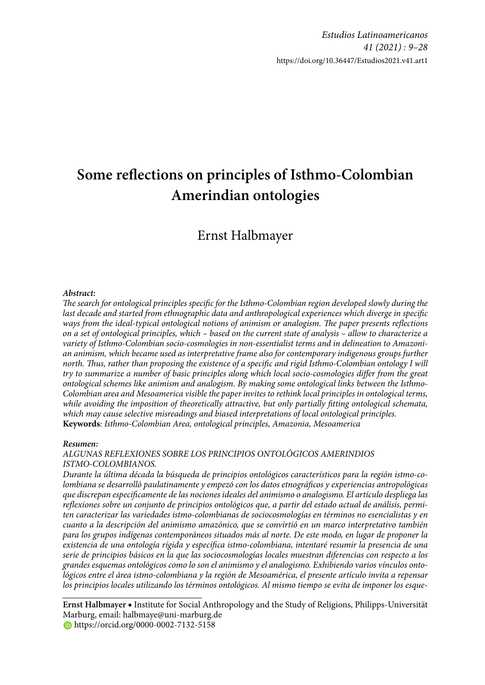# Some reflections on principles of Isthmo-Colombian **Amerindian ontologies**

## Ernst Halbmayer

#### *Abstract:*

*The search for ontological principles specific for the Isthmo-Colombian region developed slowly during the last decade and started from ethnographic data and anthropological experiences which diverge in specifi c*  ways from the ideal-typical ontological notions of animism or analogism. The paper presents reflections *on a set of ontological principles, which – based on the current state of analysis – allow to characterize a variety of Isthmo-Colombian socio-cosmologies in non-essentialist terms and in delineation to Amazonian animism, which became used as interpretative frame also for contemporary indigenous groups further north. Th us, rather than proposing the existence of a specifi c and rigid Isthmo-Colombian ontology I will*  try to summarize a number of basic principles along which local socio-cosmologies differ from the great *ontological schemes like animism and analogism. By making some ontological links between the Isthmo-Colombian area and Mesoamerica visible the paper invites to rethink local principles in ontological terms,*  while avoiding the imposition of theoretically attractive, but only partially fitting ontological schemata, *which may cause selective misreadings and biased interpretations of local ontological principles.* **Keywords***: Isthmo-Colombian Area, ontological principles, Amazonia, Mesoamerica*

#### *Resumen:*

*ALGUNAS REFLEXIONES SOBRE LOS PRINCIPIOS ONTOLÓGICOS AMERINDIOS ISTMO-COLOMBIANOS.*

*Durante la última década la búsqueda de principios ontológicos característicos para la región istmo-colombiana se desarrolló paulatinamente y empezó con los datos etnográfi cos y experiencias antropológicas que discrepan específi camente de las nociones ideales del animismo o analogismo. El artículo despliega las*  reflexiones sobre un conjunto de principios ontológicos que, a partir del estado actual de análisis, permi*ten caracterizar las variedades istmo-colombianas de sociocosmologías en términos no esencialistas y en cuanto a la descripción del animismo amazónico, que se convirtió en un marco interpretativo también para los grupos indígenas contemporáneos situados más al norte. De este modo, en lugar de proponer la existencia de una ontología rígida y específi ca istmo-colombiana, intentaré resumir la presencia de una serie de principios básicos en la que las sociocosmologías locales muestran diferencias con respecto a los grandes esquemas ontológicos como lo son el animismo y el analogismo. Exhibiendo varios vínculos ontológicos entre el área istmo-colombiana y la región de Mesoamérica, el presente artículo invita a repensar los principios locales utilizando los términos ontológicos. Al mismo tiempo se evita de imponer los esque-*

**Ernst Halbmayer** ■ Institute for Social Anthropology and the Study of Religions, Philipps-Universität Marburg, email: halbmaye@uni-marburg.de **https://orcid.org/0000-0002-7132-5158**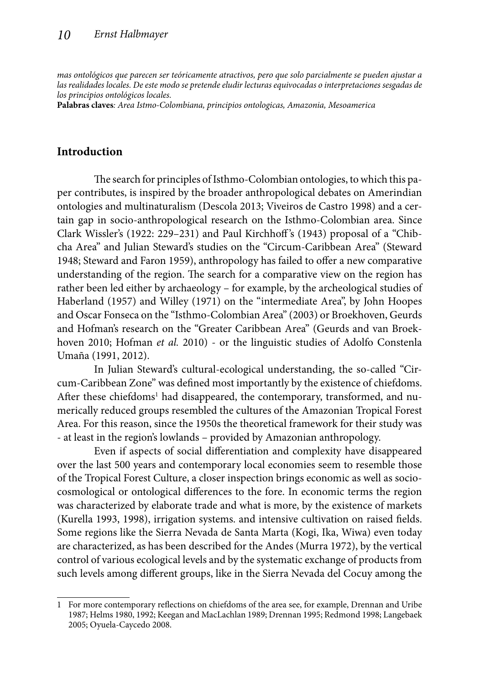*mas ontológicos que parecen ser teóricamente atractivos, pero que solo parcialmente se pueden ajustar a las realidades locales. De este modo se pretende eludir lecturas equivocadas o interpretaciones sesgadas de los principios ontológicos locales.* 

**Palabras claves***: Area Istmo-Colombiana, principios ontologicas, Amazonia, Mesoamerica* 

#### **Introduction**

The search for principles of Isthmo-Colombian ontologies, to which this paper contributes, is inspired by the broader anthropological debates on Amerindian ontologies and multinaturalism (Descola 2013; Viveiros de Castro 1998) and a certain gap in socio-anthropological research on the Isthmo-Colombian area. Since Clark Wissler's (1922: 229–231) and Paul Kirchhoff 's (1943) proposal of a "Chibcha Area" and Julian Steward's studies on the "Circum-Caribbean Area" (Steward 1948; Steward and Faron 1959), anthropology has failed to offer a new comparative understanding of the region. The search for a comparative view on the region has rather been led either by archaeology – for example, by the archeological studies of Haberland (1957) and Willey (1971) on the "intermediate Area", by John Hoopes and Oscar Fonseca on the "Isthmo-Colombian Area" (2003) or Broekhoven, Geurds and Hofman's research on the "Greater Caribbean Area" (Geurds and van Broekhoven 2010; Hofman *et al.* 2010) - or the linguistic studies of Adolfo Constenla Umaña (1991, 2012).

In Julian Steward's cultural-ecological understanding, the so-called "Circum-Caribbean Zone" was defined most importantly by the existence of chiefdoms. After these chiefdoms<sup>1</sup> had disappeared, the contemporary, transformed, and numerically reduced groups resembled the cultures of the Amazonian Tropical Forest Area. For this reason, since the 1950s the theoretical framework for their study was - at least in the region's lowlands – provided by Amazonian anthropology.

Even if aspects of social differentiation and complexity have disappeared over the last 500 years and contemporary local economies seem to resemble those of the Tropical Forest Culture, a closer inspection brings economic as well as sociocosmological or ontological differences to the fore. In economic terms the region was characterized by elaborate trade and what is more, by the existence of markets (Kurella 1993, 1998), irrigation systems. and intensive cultivation on raised fields. Some regions like the Sierra Nevada de Santa Marta (Kogi, Ika, Wiwa) even today are characterized, as has been described for the Andes (Murra 1972), by the vertical control of various ecological levels and by the systematic exchange of products from such levels among different groups, like in the Sierra Nevada del Cocuy among the

<sup>1</sup> For more contemporary reflections on chiefdoms of the area see, for example, Drennan and Uribe 1987; Helms 1980, 1992; Keegan and MacLachlan 1989; Drennan 1995; Redmond 1998; Langebaek 2005; Oyuela-Caycedo 2008.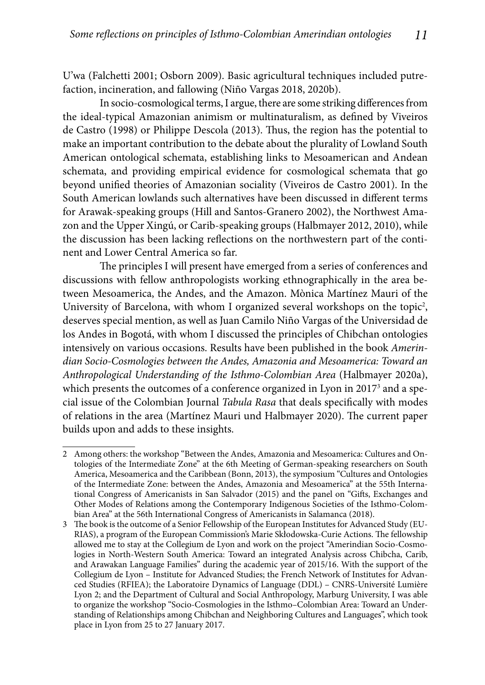U'wa (Falchetti 2001; Osborn 2009). Basic agricultural techniques included putrefaction, incineration, and fallowing (Niño Vargas 2018, 2020b).

In socio-cosmological terms, I argue, there are some striking differences from the ideal-typical Amazonian animism or multinaturalism, as defined by Viveiros de Castro (1998) or Philippe Descola (2013). Thus, the region has the potential to make an important contribution to the debate about the plurality of Lowland South American ontological schemata, establishing links to Mesoamerican and Andean schemata, and providing empirical evidence for cosmological schemata that go beyond unified theories of Amazonian sociality (Viveiros de Castro 2001). In the South American lowlands such alternatives have been discussed in different terms for Arawak-speaking groups (Hill and Santos-Granero 2002), the Northwest Amazon and the Upper Xingú, or Carib-speaking groups (Halbmayer 2012, 2010), while the discussion has been lacking reflections on the northwestern part of the continent and Lower Central America so far.

The principles I will present have emerged from a series of conferences and discussions with fellow anthropologists working ethnographically in the area between Mesoamerica, the Andes, and the Amazon. Mònica Martínez Mauri of the University of Barcelona, with whom I organized several workshops on the topic<sup>2</sup>, deserves special mention, as well as Juan Camilo Niño Vargas of the Universidad de los Andes in Bogotá, with whom I discussed the principles of Chibchan ontologies intensively on various occasions. Results have been published in the book *Amerindian Socio-Cosmologies between the Andes, Amazonia and Mesoamerica: Toward an Anthropological Understanding of the Isthmo-Colombian Area* (Halbmayer 2020a), which presents the outcomes of a conference organized in Lyon in 2017<sup>3</sup> and a special issue of the Colombian Journal *Tabula Rasa* that deals specifically with modes of relations in the area (Martínez Mauri und Halbmayer 2020). The current paper builds upon and adds to these insights.

<sup>2</sup> Among others: the workshop "Between the Andes, Amazonia and Mesoamerica: Cultures and Ontologies of the Intermediate Zone" at the 6th Meeting of German-speaking researchers on South America, Mesoamerica and the Caribbean (Bonn, 2013), the symposium "Cultures and Ontologies of the Intermediate Zone: between the Andes, Amazonia and Mesoamerica" at the 55th International Congress of Americanists in San Salvador (2015) and the panel on "Gifts, Exchanges and Other Modes of Relations among the Contemporary Indigenous Societies of the Isthmo-Colombian Area" at the 56th International Congress of Americanists in Salamanca (2018).

<sup>3</sup> The book is the outcome of a Senior Fellowship of the European Institutes for Advanced Study (EU-RIAS), a program of the European Commission's Marie Skłodowska-Curie Actions. The fellowship allowed me to stay at the Collegium de Lyon and work on the project "Amerindian Socio-Cosmologies in North-Western South America: Toward an integrated Analysis across Chibcha, Carib, and Arawakan Language Families" during the academic year of 2015/16. With the support of the Collegium de Lyon – Institute for Advanced Studies; the French Network of Institutes for Advanced Studies (RFIEA); the Laboratoire Dynamics of Language (DDL) – CNRS-Université Lumière Lyon 2; and the Department of Cultural and Social Anthropology, Marburg University, I was able to organize the workshop "Socio-Cosmologies in the Isthmo–Colombian Area: Toward an Understanding of Relationships among Chibchan and Neighboring Cultures and Languages", which took place in Lyon from 25 to 27 January 2017.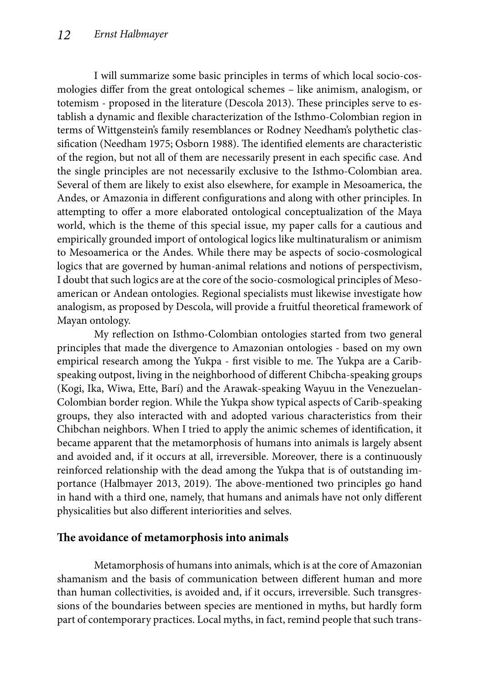I will summarize some basic principles in terms of which local socio-cosmologies differ from the great ontological schemes – like animism, analogism, or totemism - proposed in the literature (Descola 2013). These principles serve to establish a dynamic and flexible characterization of the Isthmo-Colombian region in terms of Wittgenstein's family resemblances or Rodney Needham's polythetic classification (Needham 1975; Osborn 1988). The identified elements are characteristic of the region, but not all of them are necessarily present in each specific case. And the single principles are not necessarily exclusive to the Isthmo-Colombian area. Several of them are likely to exist also elsewhere, for example in Mesoamerica, the Andes, or Amazonia in different configurations and along with other principles. In attempting to offer a more elaborated ontological conceptualization of the Maya world, which is the theme of this special issue, my paper calls for a cautious and empirically grounded import of ontological logics like multinaturalism or animism to Mesoamerica or the Andes. While there may be aspects of socio-cosmological logics that are governed by human-animal relations and notions of perspectivism, I doubt that such logics are at the core of the socio-cosmological principles of Mesoamerican or Andean ontologies. Regional specialists must likewise investigate how analogism, as proposed by Descola, will provide a fruitful theoretical framework of Mayan ontology.

My reflection on Isthmo-Colombian ontologies started from two general principles that made the divergence to Amazonian ontologies - based on my own empirical research among the Yukpa - first visible to me. The Yukpa are a Caribspeaking outpost, living in the neighborhood of different Chibcha-speaking groups (Kogi, Ika, Wiwa, Ette, Barí) and the Arawak-speaking Wayuu in the Venezuelan-Colombian border region. While the Yukpa show typical aspects of Carib-speaking groups, they also interacted with and adopted various characteristics from their Chibchan neighbors. When I tried to apply the animic schemes of identification, it became apparent that the metamorphosis of humans into animals is largely absent and avoided and, if it occurs at all, irreversible. Moreover, there is a continuously reinforced relationship with the dead among the Yukpa that is of outstanding importance (Halbmayer 2013, 2019). The above-mentioned two principles go hand in hand with a third one, namely, that humans and animals have not only different physicalities but also different interiorities and selves.

### The avoidance of metamorphosis into animals

Metamorphosis of humans into animals, which is at the core of Amazonian shamanism and the basis of communication between different human and more than human collectivities, is avoided and, if it occurs, irreversible. Such transgressions of the boundaries between species are mentioned in myths, but hardly form part of contemporary practices. Local myths, in fact, remind people that such trans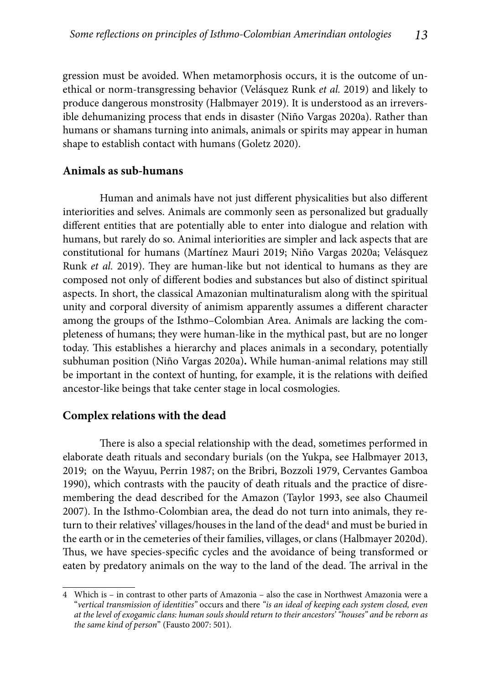gression must be avoided. When metamorphosis occurs, it is the outcome of unethical or norm-transgressing behavior (Velásquez Runk *et al.* 2019) and likely to produce dangerous monstrosity (Halbmayer 2019). It is understood as an irreversible dehumanizing process that ends in disaster (Niño Vargas 2020a). Rather than humans or shamans turning into animals, animals or spirits may appear in human shape to establish contact with humans (Goletz 2020).

#### **Animals as sub-humans**

Human and animals have not just different physicalities but also different interiorities and selves. Animals are commonly seen as personalized but gradually different entities that are potentially able to enter into dialogue and relation with humans, but rarely do so. Animal interiorities are simpler and lack aspects that are constitutional for humans (Martínez Mauri 2019; Niño Vargas 2020a; Velásquez Runk *et al.* 2019). They are human-like but not identical to humans as they are composed not only of different bodies and substances but also of distinct spiritual aspects. In short, the classical Amazonian multinaturalism along with the spiritual unity and corporal diversity of animism apparently assumes a different character among the groups of the Isthmo–Colombian Area. Animals are lacking the completeness of humans; they were human-like in the mythical past, but are no longer today. This establishes a hierarchy and places animals in a secondary, potentially subhuman position (Niño Vargas 2020a)**.** While human-animal relations may still be important in the context of hunting, for example, it is the relations with deified ancestor-like beings that take center stage in local cosmologies.

#### **Complex relations with the dead**

There is also a special relationship with the dead, sometimes performed in elaborate death rituals and secondary burials (on the Yukpa, see Halbmayer 2013, 2019; on the Wayuu, Perrin 1987; on the Bribri, Bozzoli 1979, Cervantes Gamboa 1990), which contrasts with the paucity of death rituals and the practice of disremembering the dead described for the Amazon (Taylor 1993, see also Chaumeil 2007). In the Isthmo-Colombian area, the dead do not turn into animals, they return to their relatives' villages/houses in the land of the dead<sup>4</sup> and must be buried in the earth or in the cemeteries of their families, villages, or clans (Halbmayer 2020d). Thus, we have species-specific cycles and the avoidance of being transformed or eaten by predatory animals on the way to the land of the dead. The arrival in the

<sup>4</sup> Which is – in contrast to other parts of Amazonia – also the case in Northwest Amazonia were a "*vertical transmission of identities"* occurs and there *"is an ideal of keeping each system closed, even at the level of exogamic clans: human souls should return to their ancestors' "houses" and be reborn as the same kind of person*" (Fausto 2007: 501).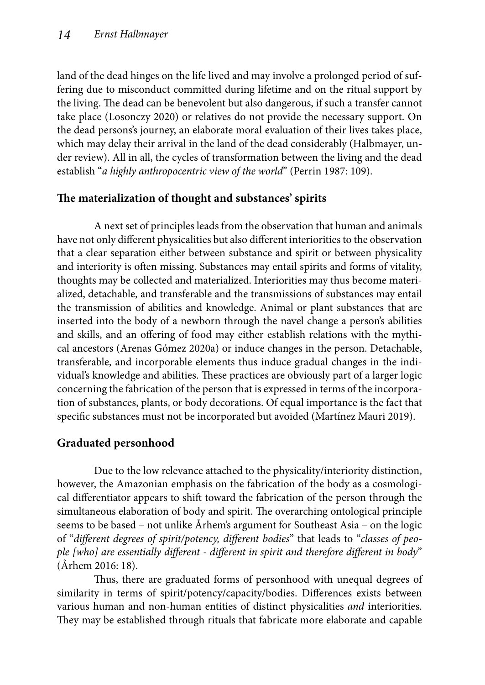land of the dead hinges on the life lived and may involve a prolonged period of suffering due to misconduct committed during lifetime and on the ritual support by the living. The dead can be benevolent but also dangerous, if such a transfer cannot take place (Losonczy 2020) or relatives do not provide the necessary support. On the dead persons's journey, an elaborate moral evaluation of their lives takes place, which may delay their arrival in the land of the dead considerably (Halbmayer, under review). All in all, the cycles of transformation between the living and the dead establish "*a highly anthropocentric view of the world*" (Perrin 1987: 109).

### The materialization of thought and substances' spirits

A next set of principles leads from the observation that human and animals have not only different physicalities but also different interiorities to the observation that a clear separation either between substance and spirit or between physicality and interiority is often missing. Substances may entail spirits and forms of vitality, thoughts may be collected and materialized. Interiorities may thus become materialized, detachable, and transferable and the transmissions of substances may entail the transmission of abilities and knowledge. Animal or plant substances that are inserted into the body of a newborn through the navel change a person's abilities and skills, and an offering of food may either establish relations with the mythical ancestors (Arenas Gómez 2020a) or induce changes in the person. Detachable, transferable, and incorporable elements thus induce gradual changes in the individual's knowledge and abilities. These practices are obviously part of a larger logic concerning the fabrication of the person that is expressed in terms of the incorporation of substances, plants, or body decorations. Of equal importance is the fact that specific substances must not be incorporated but avoided (Martínez Mauri 2019).

## **Graduated personhood**

Due to the low relevance attached to the physicality/interiority distinction, however, the Amazonian emphasis on the fabrication of the body as a cosmological differentiator appears to shift toward the fabrication of the person through the simultaneous elaboration of body and spirit. The overarching ontological principle seems to be based – not unlike Århem's argument for Southeast Asia – on the logic of "different degrees of spirit/potency, different bodies" that leads to "*classes of peo*ple [who] are essentially different - different in spirit and therefore different in body" (Århem 2016: 18).

Thus, there are graduated forms of personhood with unequal degrees of similarity in terms of spirit/potency/capacity/bodies. Differences exists between various human and non-human entities of distinct physicalities *and* interiorities. They may be established through rituals that fabricate more elaborate and capable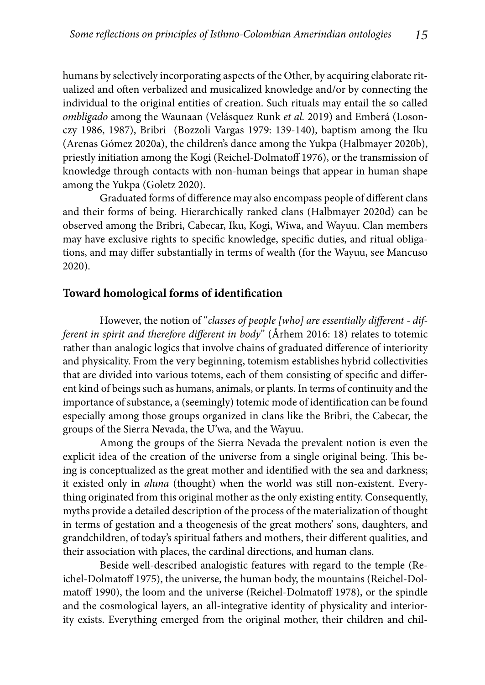humans by selectively incorporating aspects of the Other, by acquiring elaborate ritualized and often verbalized and musicalized knowledge and/or by connecting the individual to the original entities of creation. Such rituals may entail the so called *ombligado* among the Waunaan (Velásquez Runk *et al.* 2019) and Emberá (Losonczy 1986, 1987), Bribri (Bozzoli Vargas 1979: 139-140), baptism among the Iku (Arenas Gómez 2020a), the children's dance among the Yukpa (Halbmayer 2020b), priestly initiation among the Kogi (Reichel-Dolmatoff 1976), or the transmission of knowledge through contacts with non-human beings that appear in human shape among the Yukpa (Goletz 2020).

Graduated forms of difference may also encompass people of different clans and their forms of being. Hierarchically ranked clans (Halbmayer 2020d) can be observed among the Bribri, Cabecar, Iku, Kogi, Wiwa, and Wayuu. Clan members may have exclusive rights to specific knowledge, specific duties, and ritual obligations, and may differ substantially in terms of wealth (for the Wayuu, see Mancuso 2020).

#### **Toward homological forms of identification**

However, the notion of "*classes of people [who] are essentially different - different in spirit and therefore different in body*" (Århem 2016: 18) relates to totemic rather than analogic logics that involve chains of graduated difference of interiority and physicality. From the very beginning, totemism establishes hybrid collectivities that are divided into various totems, each of them consisting of specific and different kind of beings such as humans, animals, or plants. In terms of continuity and the importance of substance, a (seemingly) totemic mode of identification can be found especially among those groups organized in clans like the Bribri, the Cabecar, the groups of the Sierra Nevada, the U'wa, and the Wayuu.

Among the groups of the Sierra Nevada the prevalent notion is even the explicit idea of the creation of the universe from a single original being. This being is conceptualized as the great mother and identified with the sea and darkness; it existed only in *aluna* (thought) when the world was still non-existent. Everything originated from this original mother as the only existing entity. Consequently, myths provide a detailed description of the process of the materialization of thought in terms of gestation and a theogenesis of the great mothers' sons, daughters, and grandchildren, of today's spiritual fathers and mothers, their different qualities, and their association with places, the cardinal directions, and human clans.

Beside well-described analogistic features with regard to the temple (Reichel-Dolmatoff 1975), the universe, the human body, the mountains (Reichel-Dolmatoff 1990), the loom and the universe (Reichel-Dolmatoff 1978), or the spindle and the cosmological layers, an all-integrative identity of physicality and interiority exists. Everything emerged from the original mother, their children and chil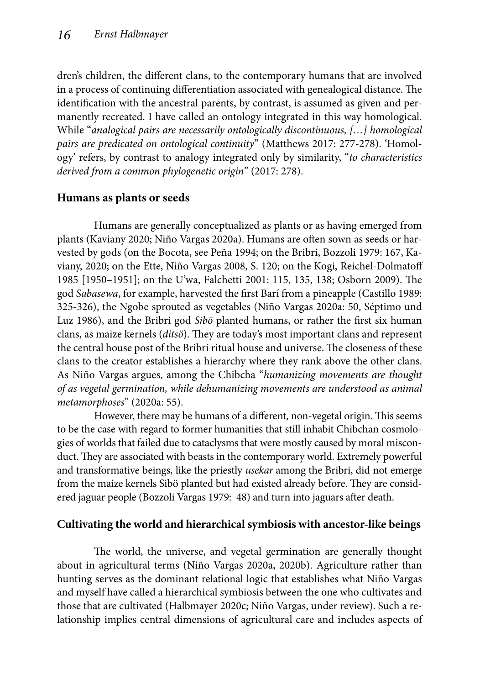dren's children, the different clans, to the contemporary humans that are involved in a process of continuing differentiation associated with genealogical distance. The identification with the ancestral parents, by contrast, is assumed as given and permanently recreated. I have called an ontology integrated in this way homological. While "*analogical pairs are necessarily ontologically discontinuous, […] homological pairs are predicated on ontological continuity*" (Matthews 2017: 277-278). 'Homology' refers, by contrast to analogy integrated only by similarity, "*to characteristics derived from a common phylogenetic origin*" (2017: 278).

### **Humans as plants or seeds**

Humans are generally conceptualized as plants or as having emerged from plants (Kaviany 2020; Niño Vargas 2020a). Humans are often sown as seeds or harvested by gods (on the Bocota, see Peña 1994; on the Bribri, Bozzoli 1979: 167, Kaviany, 2020; on the Ette, Niño Vargas 2008, S. 120; on the Kogi, Reichel-Dolmatoff 1985 [1950-1951]; on the U'wa, Falchetti 2001: 115, 135, 138; Osborn 2009). The god *Sabasewa*, for example, harvested the first Barí from a pineapple (Castillo 1989: 325-326), the Ngobe sprouted as vegetables (Niño Vargas 2020a: 50, Séptimo und Luz 1986), and the Bribri god *Sibö* planted humans, or rather the first six human clans, as maize kernels (*ditsö*). They are today's most important clans and represent the central house post of the Bribri ritual house and universe. The closeness of these clans to the creator establishes a hierarchy where they rank above the other clans. As Niño Vargas argues, among the Chibcha "*humanizing movements are thought of as vegetal germination, while dehumanizing movements are understood as animal metamorphoses*" (2020a: 55).

However, there may be humans of a different, non-vegetal origin. This seems to be the case with regard to former humanities that still inhabit Chibchan cosmologies of worlds that failed due to cataclysms that were mostly caused by moral misconduct. They are associated with beasts in the contemporary world. Extremely powerful and transformative beings, like the priestly *usekar* among the Bribri, did not emerge from the maize kernels Sibö planted but had existed already before. They are considered jaguar people (Bozzoli Vargas 1979: 48) and turn into jaguars after death.

### **Cultivating the world and hierarchical symbiosis with ancestor-like beings**

The world, the universe, and vegetal germination are generally thought about in agricultural terms (Niño Vargas 2020a, 2020b). Agriculture rather than hunting serves as the dominant relational logic that establishes what Niño Vargas and myself have called a hierarchical symbiosis between the one who cultivates and those that are cultivated (Halbmayer 2020c; Niño Vargas, under review). Such a relationship implies central dimensions of agricultural care and includes aspects of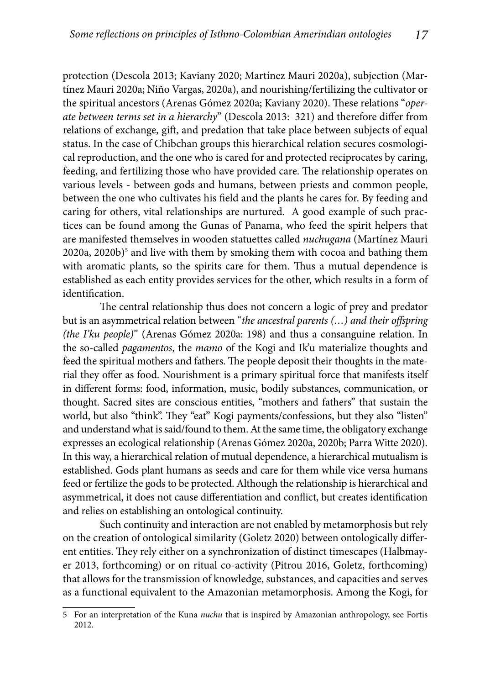protection (Descola 2013; Kaviany 2020; Martínez Mauri 2020a), subjection (Martínez Mauri 2020a; Niño Vargas, 2020a), and nourishing/fertilizing the cultivator or the spiritual ancestors (Arenas Gómez 2020a; Kaviany 2020). These relations "oper*ate between terms set in a hierarchy*" (Descola 2013: 321) and therefore differ from relations of exchange, gift, and predation that take place between subjects of equal status. In the case of Chibchan groups this hierarchical relation secures cosmological reproduction, and the one who is cared for and protected reciprocates by caring, feeding, and fertilizing those who have provided care. The relationship operates on various levels - between gods and humans, between priests and common people, between the one who cultivates his field and the plants he cares for. By feeding and caring for others, vital relationships are nurtured. A good example of such practices can be found among the Gunas of Panama, who feed the spirit helpers that are manifested themselves in wooden statuettes called *nuchugana* (Martínez Mauri 2020a, 2020b)<sup>5</sup> and live with them by smoking them with cocoa and bathing them with aromatic plants, so the spirits care for them. Thus a mutual dependence is established as each entity provides services for the other, which results in a form of identification.

The central relationship thus does not concern a logic of prey and predator but is an asymmetrical relation between "*the ancestral parents (...) and their offspring (the I'ku people)*" (Arenas Gómez 2020a: 198) and thus a consanguine relation. In the so-called *pagamentos*, the *mamo* of the Kogi and Ik'u materialize thoughts and feed the spiritual mothers and fathers. The people deposit their thoughts in the material they offer as food. Nourishment is a primary spiritual force that manifests itself in different forms: food, information, music, bodily substances, communication, or thought. Sacred sites are conscious entities, "mothers and fathers" that sustain the world, but also "think". They "eat" Kogi payments/confessions, but they also "listen" and understand what is said/found to them. At the same time, the obligatory exchange expresses an ecological relationship (Arenas Gómez 2020a, 2020b; Parra Witte 2020). In this way, a hierarchical relation of mutual dependence, a hierarchical mutualism is established. Gods plant humans as seeds and care for them while vice versa humans feed or fertilize the gods to be protected. Although the relationship is hierarchical and asymmetrical, it does not cause differentiation and conflict, but creates identification and relies on establishing an ontological continuity.

Such continuity and interaction are not enabled by metamorphosis but rely on the creation of ontological similarity (Goletz 2020) between ontologically different entities. They rely either on a synchronization of distinct timescapes (Halbmayer 2013, forthcoming) or on ritual co-activity (Pitrou 2016, Goletz, forthcoming) that allows for the transmission of knowledge, substances, and capacities and serves as a functional equivalent to the Amazonian metamorphosis. Among the Kogi, for

<sup>5</sup> For an interpretation of the Kuna *nuchu* that is inspired by Amazonian anthropology, see Fortis 2012.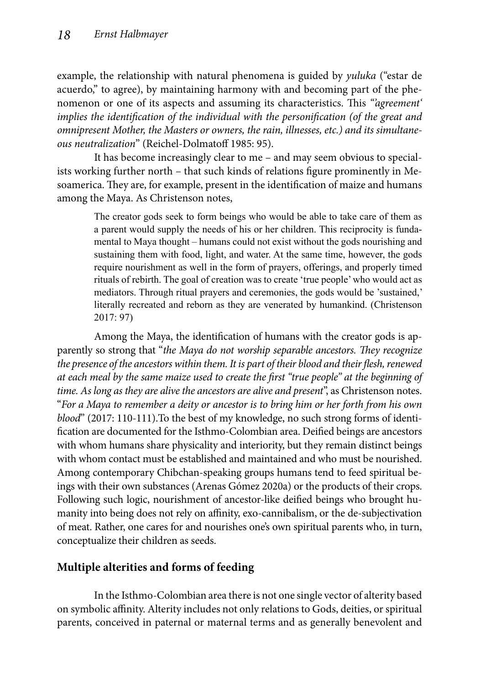example, the relationship with natural phenomena is guided by *yuluka* ("estar de acuerdo," to agree), by maintaining harmony with and becoming part of the phenomenon or one of its aspects and assuming its characteristics. This *"agreement" implies the identification of the individual with the personification (of the great and omnipresent Mother, the Masters or owners, the rain, illnesses, etc.) and its simultaneous neutralization*" (Reichel-Dolmatoff 1985: 95).

It has become increasingly clear to me – and may seem obvious to specialists working further north – that such kinds of relations figure prominently in Mesoamerica. They are, for example, present in the identification of maize and humans among the Maya. As Christenson notes,

> The creator gods seek to form beings who would be able to take care of them as a parent would supply the needs of his or her children. This reciprocity is fundamental to Maya thought – humans could not exist without the gods nourishing and sustaining them with food, light, and water. At the same time, however, the gods require nourishment as well in the form of prayers, offerings, and properly timed rituals of rebirth. The goal of creation was to create 'true people' who would act as mediators. Through ritual prayers and ceremonies, the gods would be 'sustained,' literally recreated and reborn as they are venerated by humankind. (Christenson 2017: 97)

Among the Maya, the identification of humans with the creator gods is apparently so strong that "*the Maya do not worship separable ancestors*. They recognize the presence of the ancestors within them. It is part of their blood and their flesh, renewed *at each meal by the same maize used to create the first "true people" at the beginning of time. As long as they are alive the ancestors are alive and present*", as Christenson notes. "*For a Maya to remember a deity or ancestor is to bring him or her forth from his own blood*" (2017: 110-111).To the best of my knowledge, no such strong forms of identification are documented for the Isthmo-Colombian area. Deified beings are ancestors with whom humans share physicality and interiority, but they remain distinct beings with whom contact must be established and maintained and who must be nourished. Among contemporary Chibchan-speaking groups humans tend to feed spiritual beings with their own substances (Arenas Gómez 2020a) or the products of their crops. Following such logic, nourishment of ancestor-like deified beings who brought humanity into being does not rely on affinity, exo-cannibalism, or the de-subjectivation of meat. Rather, one cares for and nourishes one's own spiritual parents who, in turn, conceptualize their children as seeds.

## **Multiple alterities and forms of feeding**

In the Isthmo-Colombian area there is not one single vector of alterity based on symbolic affinity. Alterity includes not only relations to Gods, deities, or spiritual parents, conceived in paternal or maternal terms and as generally benevolent and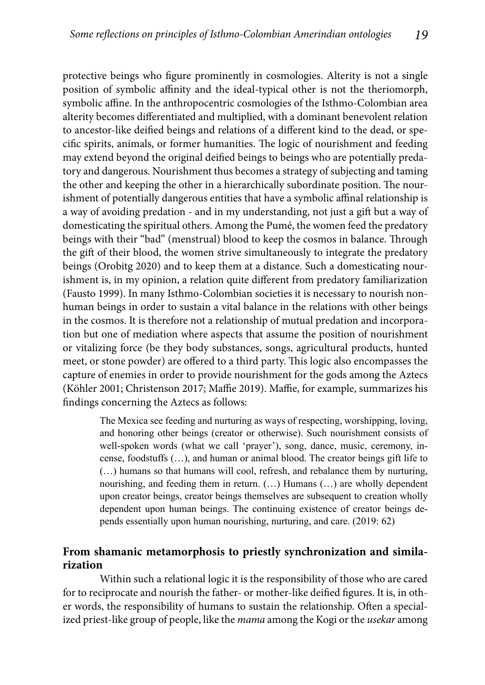protective beings who figure prominently in cosmologies. Alterity is not a single position of symbolic affinity and the ideal-typical other is not the theriomorph, symbolic affine. In the anthropocentric cosmologies of the Isthmo-Colombian area alterity becomes differentiated and multiplied, with a dominant benevolent relation to ancestor-like deified beings and relations of a different kind to the dead, or specific spirits, animals, or former humanities. The logic of nourishment and feeding may extend beyond the original deified beings to beings who are potentially predatory and dangerous. Nourishment thus becomes a strategy of subjecting and taming the other and keeping the other in a hierarchically subordinate position. The nourishment of potentially dangerous entities that have a symbolic affinal relationship is a way of avoiding predation - and in my understanding, not just a gift but a way of domesticating the spiritual others. Among the Pumé, the women feed the predatory beings with their "bad" (menstrual) blood to keep the cosmos in balance. Through the gift of their blood, the women strive simultaneously to integrate the predatory beings (Orobitg 2020) and to keep them at a distance. Such a domesticating nourishment is, in my opinion, a relation quite different from predatory familiarization (Fausto 1999). In many Isthmo-Colombian societies it is necessary to nourish nonhuman beings in order to sustain a vital balance in the relations with other beings in the cosmos. It is therefore not a relationship of mutual predation and incorporation but one of mediation where aspects that assume the position of nourishment or vitalizing force (be they body substances, songs, agricultural products, hunted meet, or stone powder) are offered to a third party. This logic also encompasses the capture of enemies in order to provide nourishment for the gods among the Aztecs (Köhler 2001; Christenson 2017; Maffie 2019). Maffie, for example, summarizes his findings concerning the Aztecs as follows:

> The Mexica see feeding and nurturing as ways of respecting, worshipping, loving, and honoring other beings (creator or otherwise). Such nourishment consists of well-spoken words (what we call 'prayer'), song, dance, music, ceremony, incense, foodstuffs (…), and human or animal blood. The creator beings gift life to (…) humans so that humans will cool, refresh, and rebalance them by nurturing, nourishing, and feeding them in return. (…) Humans (…) are wholly dependent upon creator beings, creator beings themselves are subsequent to creation wholly dependent upon human beings. The continuing existence of creator beings depends essentially upon human nourishing, nurturing, and care. (2019: 62)

#### **From shamanic metamorphosis to priestly synchronization and similarization**

Within such a relational logic it is the responsibility of those who are cared for to reciprocate and nourish the father- or mother-like deified figures. It is, in other words, the responsibility of humans to sustain the relationship. Often a specialized priest-like group of people, like the *mama* among the Kogi or the *usekar* among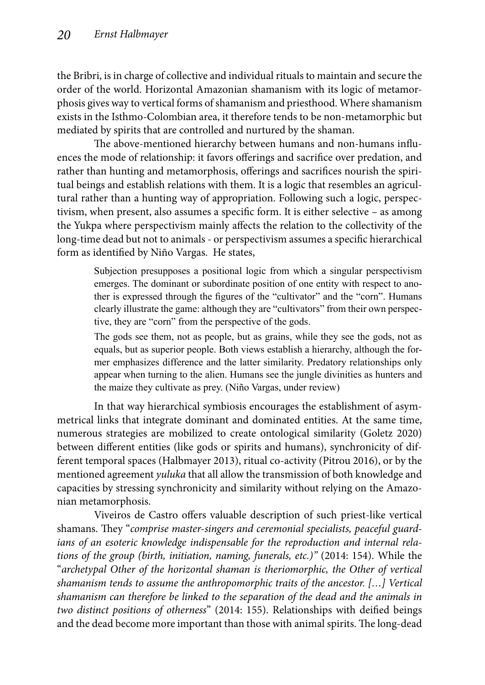the Bribri, is in charge of collective and individual rituals to maintain and secure the order of the world. Horizontal Amazonian shamanism with its logic of metamorphosis gives way to vertical forms of shamanism and priesthood. Where shamanism exists in the Isthmo-Colombian area, it therefore tends to be non-metamorphic but mediated by spirits that are controlled and nurtured by the shaman.

The above-mentioned hierarchy between humans and non-humans influences the mode of relationship: it favors offerings and sacrifice over predation, and rather than hunting and metamorphosis, offerings and sacrifices nourish the spiritual beings and establish relations with them. It is a logic that resembles an agricultural rather than a hunting way of appropriation. Following such a logic, perspectivism, when present, also assumes a specific form. It is either selective – as among the Yukpa where perspectivism mainly affects the relation to the collectivity of the long-time dead but not to animals - or perspectivism assumes a specific hierarchical form as identified by Niño Vargas. He states,

> Subjection presupposes a positional logic from which a singular perspectivism emerges. The dominant or subordinate position of one entity with respect to another is expressed through the figures of the "cultivator" and the "corn". Humans clearly illustrate the game: although they are "cultivators" from their own perspective, they are "corn" from the perspective of the gods.

> The gods see them, not as people, but as grains, while they see the gods, not as equals, but as superior people. Both views establish a hierarchy, although the former emphasizes difference and the latter similarity. Predatory relationships only appear when turning to the alien. Humans see the jungle divinities as hunters and the maize they cultivate as prey. (Niño Vargas, under review)

In that way hierarchical symbiosis encourages the establishment of asymmetrical links that integrate dominant and dominated entities. At the same time, numerous strategies are mobilized to create ontological similarity (Goletz 2020) between different entities (like gods or spirits and humans), synchronicity of different temporal spaces (Halbmayer 2013), ritual co-activity (Pitrou 2016), or by the mentioned agreement *yuluka* that all allow the transmission of both knowledge and capacities by stressing synchronicity and similarity without relying on the Amazonian metamorphosis.

Viveiros de Castro offers valuable description of such priest-like vertical shamans. They "comprise master-singers and ceremonial specialists, peaceful guard*ians of an esoteric knowledge indispensable for the reproduction and internal relations of the group (birth, initiation, naming, funerals, etc.)"* (2014: 154). While the "*archetypal Other of the horizontal shaman is theriomorphic, the Other of vertical shamanism tends to assume the anthropomorphic traits of the ancestor. […] Vertical shamanism can therefore be linked to the separation of the dead and the animals in two distinct positions of otherness*" (2014: 155). Relationships with deified beings and the dead become more important than those with animal spirits. The long-dead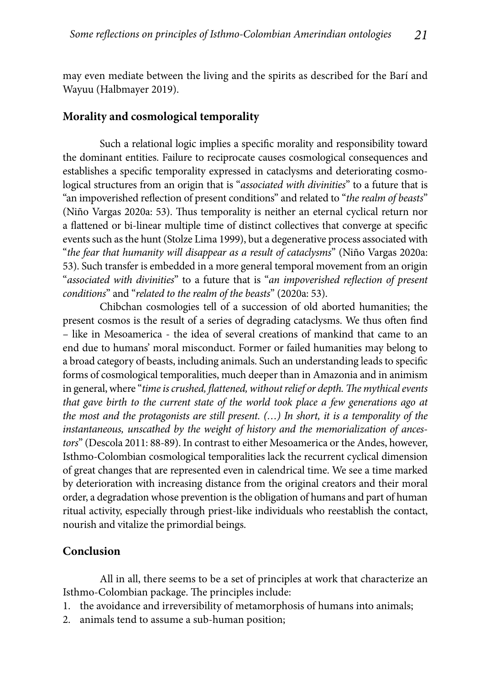may even mediate between the living and the spirits as described for the Barí and Wayuu (Halbmayer 2019).

#### **Morality and cosmological temporality**

Such a relational logic implies a specific morality and responsibility toward the dominant entities. Failure to reciprocate causes cosmological consequences and establishes a specific temporality expressed in cataclysms and deteriorating cosmological structures from an origin that is "*associated with divinities*" to a future that is "an impoverished reflection of present conditions" and related to "*the realm of beasts*" (Niño Vargas 2020a: 53). Thus temporality is neither an eternal cyclical return nor a flattened or bi-linear multiple time of distinct collectives that converge at specific events such as the hunt (Stolze Lima 1999), but a degenerative process associated with "*the fear that humanity will disappear as a result of cataclysms*" (Niño Vargas 2020a: 53). Such transfer is embedded in a more general temporal movement from an origin "*associated with divinities*" to a future that is "*an impoverished reflection of present conditions*" and "*related to the realm of the beasts*" (2020a: 53).

Chibchan cosmologies tell of a succession of old aborted humanities; the present cosmos is the result of a series of degrading cataclysms. We thus often find – like in Mesoamerica - the idea of several creations of mankind that came to an end due to humans' moral misconduct. Former or failed humanities may belong to a broad category of beasts, including animals. Such an understanding leads to specific forms of cosmological temporalities, much deeper than in Amazonia and in animism in general, where "*time is crushed, flattened, without relief or depth. The mythical events that gave birth to the current state of the world took place a few generations ago at the most and the protagonists are still present. (…) In short, it is a temporality of the instantaneous, unscathed by the weight of history and the memorialization of ancestors*" (Descola 2011: 88-89). In contrast to either Mesoamerica or the Andes, however, Isthmo-Colombian cosmological temporalities lack the recurrent cyclical dimension of great changes that are represented even in calendrical time. We see a time marked by deterioration with increasing distance from the original creators and their moral order, a degradation whose prevention is the obligation of humans and part of human ritual activity, especially through priest-like individuals who reestablish the contact, nourish and vitalize the primordial beings.

#### **Conclusion**

All in all, there seems to be a set of principles at work that characterize an Isthmo-Colombian package. The principles include:

- 1. the avoidance and irreversibility of metamorphosis of humans into animals;
- 2. animals tend to assume a sub-human position;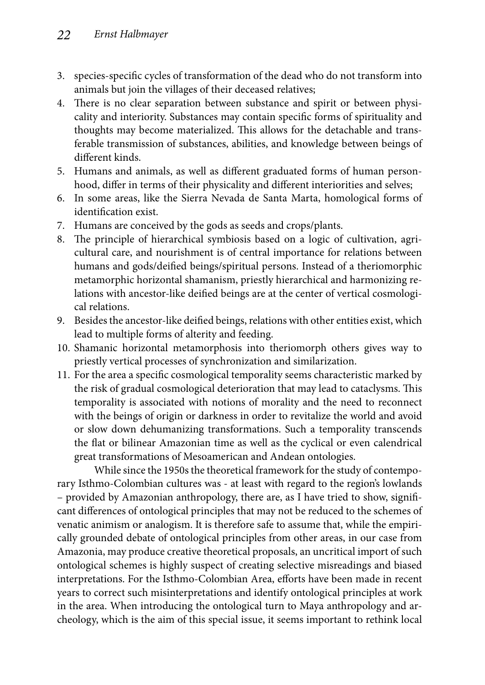- 3. species-specific cycles of transformation of the dead who do not transform into animals but join the villages of their deceased relatives;
- 4. There is no clear separation between substance and spirit or between physicality and interiority. Substances may contain specific forms of spirituality and thoughts may become materialized. This allows for the detachable and transferable transmission of substances, abilities, and knowledge between beings of different kinds.
- 5. Humans and animals, as well as different graduated forms of human personhood, differ in terms of their physicality and different interiorities and selves;
- 6. In some areas, like the Sierra Nevada de Santa Marta, homological forms of identification exist.
- 7. Humans are conceived by the gods as seeds and crops/plants.
- 8. The principle of hierarchical symbiosis based on a logic of cultivation, agricultural care, and nourishment is of central importance for relations between humans and gods/deified beings/spiritual persons. Instead of a theriomorphic metamorphic horizontal shamanism, priestly hierarchical and harmonizing relations with ancestor-like deified beings are at the center of vertical cosmological relations.
- 9. Besides the ancestor-like deified beings, relations with other entities exist, which lead to multiple forms of alterity and feeding.
- 10. Shamanic horizontal metamorphosis into theriomorph others gives way to priestly vertical processes of synchronization and similarization.
- 11. For the area a specific cosmological temporality seems characteristic marked by the risk of gradual cosmological deterioration that may lead to cataclysms. This temporality is associated with notions of morality and the need to reconnect with the beings of origin or darkness in order to revitalize the world and avoid or slow down dehumanizing transformations. Such a temporality transcends the flat or bilinear Amazonian time as well as the cyclical or even calendrical great transformations of Mesoamerican and Andean ontologies.

While since the 1950s the theoretical framework for the study of contemporary Isthmo-Colombian cultures was - at least with regard to the region's lowlands – provided by Amazonian anthropology, there are, as I have tried to show, signifi cant differences of ontological principles that may not be reduced to the schemes of venatic animism or analogism. It is therefore safe to assume that, while the empirically grounded debate of ontological principles from other areas, in our case from Amazonia, may produce creative theoretical proposals, an uncritical import of such ontological schemes is highly suspect of creating selective misreadings and biased interpretations. For the Isthmo-Colombian Area, efforts have been made in recent years to correct such misinterpretations and identify ontological principles at work in the area. When introducing the ontological turn to Maya anthropology and archeology, which is the aim of this special issue, it seems important to rethink local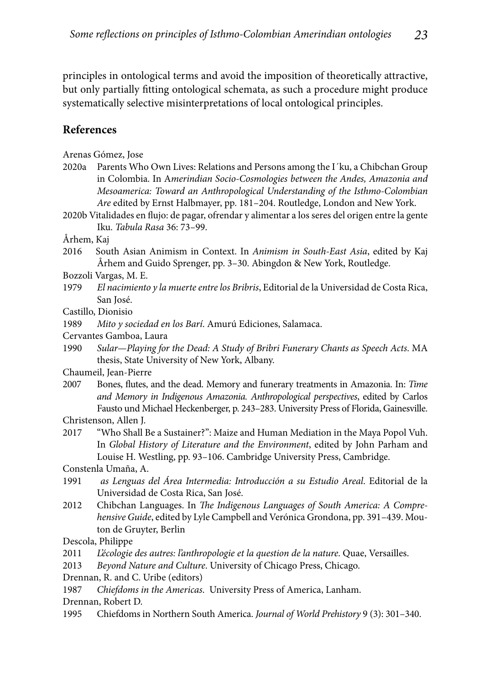principles in ontological terms and avoid the imposition of theoretically attractive, but only partially fitting ontological schemata, as such a procedure might produce systematically selective misinterpretations of local ontological principles.

### **References**

Arenas Gómez, Jose

2020a Parents Who Own Lives: Relations and Persons among the I´ku, a Chibchan Group in Colombia. In A*merindian Socio-Cosmologies between the Andes, Amazonia and Mesoamerica: Toward an Anthropological Understanding of the Isthmo-Colombian Are* edited by Ernst Halbmayer, pp. 181–204. Routledge, London and New York.

2020b Vitalidades en flujo: de pagar, ofrendar y alimentar a los seres del origen entre la gente Iku. *Tabula Rasa* 36: 73–99.

Århem, Kaj

- 2016 South Asian Animism in Context. In *Animism in South-East Asia*, edited by Kaj Århem and Guido Sprenger, pp. 3–30. Abingdon & New York, Routledge.
- Bozzoli Vargas, M. E.
- 1979 *El nacimiento y la muerte entre los Bribris*, Editorial de la Universidad de Costa Rica, San José.
- Castillo, Dionisio

1989 *Mito y sociedad en los Barí*. Amurú Ediciones, Salamaca.

Cervantes Gamboa, Laura

1990 *Sular—Playing for the Dead: A Study of Bribri Funerary Chants as Speech Acts*. MA thesis, State University of New York, Albany.

Chaumeil, Jean-Pierre

2007 Bones, flutes, and the dead. Memory and funerary treatments in Amazonia. In: *Time and Memory in Indigenous Amazonia. Anthropological perspectives*, edited by Carlos Fausto und Michael Heckenberger, p. 243–283. University Press of Florida, Gainesville.

Christenson, Allen J.

2017 "Who Shall Be a Sustainer?": Maize and Human Mediation in the Maya Popol Vuh. In *Global History of Literature and the Environment*, edited by John Parham and Louise H. Westling, pp. 93–106. Cambridge University Press, Cambridge.

Constenla Umaña, A.

- 1991 *as Lenguas del Área Intermedia: Introducción a su Estudio Areal*. Editorial de la Universidad de Costa Rica, San José.
- 2012 Chibchan Languages. In *The Indigenous Languages of South America: A Comprehensive Guide*, edited by Lyle Campbell and Verónica Grondona, pp. 391–439. Mouton de Gruyter, Berlin

Descola, Philippe

2011 *L'écologie des autres: l'anthropologie et la question de la nature*. Quae, Versailles.

2013 *Beyond Nature and Culture*. University of Chicago Press, Chicago.

Drennan, R. and C. Uribe (editors)

1987 *Chiefdoms in the Americas*. University Press of America, Lanham.

Drennan, Robert D.

1995 Chiefdoms in Northern South America. *Journal of World Prehistory* 9 (3): 301–340.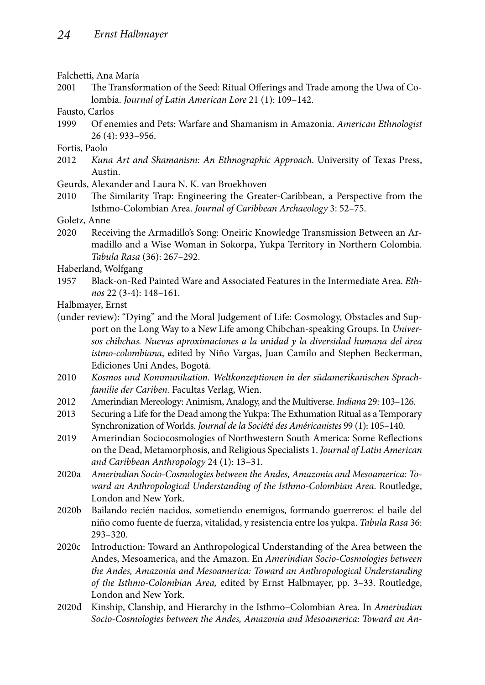Falchetti, Ana María

- 2001 The Transformation of the Seed: Ritual Offerings and Trade among the Uwa of Colombia. *Journal of Latin American Lore* 21 (1): 109–142.
- Fausto, Carlos
- 1999 Of enemies and Pets: Warfare and Shamanism in Amazonia. *American Ethnologist*  26 (4): 933–956.

Fortis, Paolo

- 2012 *Kuna Art and Shamanism: An Ethnographic Approach*. University of Texas Press, Austin.
- Geurds, Alexander and Laura N. K. van Broekhoven
- 2010 The Similarity Trap: Engineering the Greater-Caribbean, a Perspective from the Isthmo-Colombian Area. *Journal of Caribbean Archaeology* 3: 52–75.

Goletz, Anne

- 2020 Receiving the Armadillo's Song: Oneiric Knowledge Transmission Between an Armadillo and a Wise Woman in Sokorpa, Yukpa Territory in Northern Colombia. *Tabula Rasa* (36): 267–292.
- Haberland, Wolfgang
- 1957 Black-on-Red Painted Ware and Associated Features in the Intermediate Area. *Ethnos* 22 (3-4): 148–161.

Halbmayer, Ernst

- (under review): "Dying" and the Moral Judgement of Life: Cosmology, Obstacles and Support on the Long Way to a New Life among Chibchan-speaking Groups. In *Universos chibchas. Nuevas aproximaciones a la unidad y la diversidad humana del área istmo-colombiana*, edited by Niño Vargas, Juan Camilo and Stephen Beckerman, Ediciones Uni Andes, Bogotá.
- 2010 *Kosmos und Kommunikation. Weltkonzeptionen in der südamerikanischen Sprachfamilie der Cariben.* Facultas Verlag, Wien.
- 2012 Amerindian Mereology: Animism, Analogy, and the Multiverse. *Indiana* 29: 103–126.
- 2013 Securing a Life for the Dead among the Yukpa: The Exhumation Ritual as a Temporary Synchronization of Worlds. *Journal de la Société des Américanistes* 99 (1): 105–140.
- 2019 Amerindian Sociocosmologies of Northwestern South America: Some Reflections on the Dead, Metamorphosis, and Religious Specialists 1. *Journal of Latin American and Caribbean Anthropology* 24 (1): 13–31.
- 2020a *Amerindian Socio-Cosmologies between the Andes, Amazonia and Mesoamerica: Toward an Anthropological Understanding of the Isthmo-Colombian Area*. Routledge, London and New York.
- 2020b Bailando recién nacidos, sometiendo enemigos, formando guerreros: el baile del niño como fuente de fuerza, vitalidad, y resistencia entre los yukpa. *Tabula Rasa* 36: 293–320.
- 2020c Introduction: Toward an Anthropological Understanding of the Area between the Andes, Mesoamerica, and the Amazon. En *Amerindian Socio-Cosmologies between the Andes, Amazonia and Mesoamerica: Toward an Anthropological Understanding of the Isthmo-Colombian Area,* edited by Ernst Halbmayer, pp. 3–33. Routledge, London and New York.
- 2020d Kinship, Clanship, and Hierarchy in the Isthmo–Colombian Area. In *Amerindian Socio-Cosmologies between the Andes, Amazonia and Mesoamerica: Toward an An-*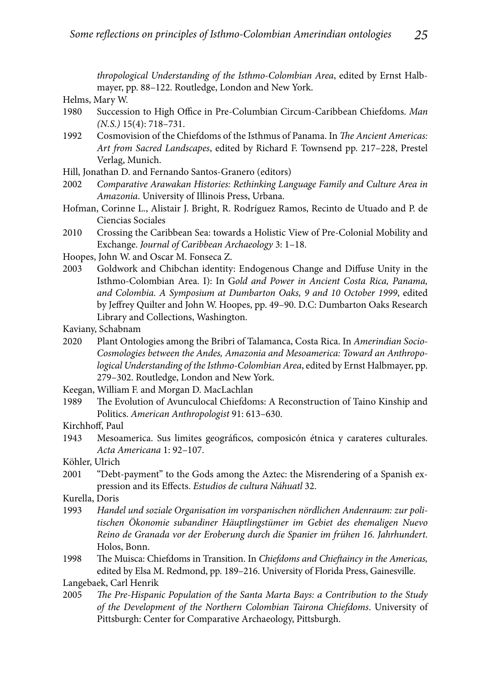*thropological Understanding of the Isthmo-Colombian Area*, edited by Ernst Halbmayer, pp. 88–122. Routledge, London and New York.

Helms, Mary W.

- 1980 Succession to High Office in Pre-Columbian Circum-Caribbean Chiefdoms. Man *(N.S.)* 15(4): 718–731.
- 1992 Cosmovision of the Chiefdoms of the Isthmus of Panama. In *The Ancient Americas: Art from Sacred Landscapes*, edited by Richard F. Townsend pp. 217–228, Prestel Verlag, Munich.
- Hill, Jonathan D. and Fernando Santos-Granero (editors)
- 2002 *Comparative Arawakan Histories: Rethinking Language Family and Culture Area in Amazonia*. University of Illinois Press, Urbana.
- Hofman, Corinne L., Alistair J. Bright, R. Rodríguez Ramos, Recinto de Utuado and P. de Ciencias Sociales
- 2010 Crossing the Caribbean Sea: towards a Holistic View of Pre-Colonial Mobility and Exchange. *Journal of Caribbean Archaeology* 3: 1–18.
- Hoopes, John W. and Oscar M. Fonseca Z.
- 2003 Goldwork and Chibchan identity: Endogenous Change and Diffuse Unity in the Isthmo-Colombian Area. I): In G*old and Power in Ancient Costa Rica, Panama, and Colombia. A Symposium at Dumbarton Oaks, 9 and 10 October 1999*, edited by Jeffrey Quilter and John W. Hoopes, pp. 49-90. D.C: Dumbarton Oaks Research Library and Collections, Washington.
- Kaviany, Schabnam
- 2020 Plant Ontologies among the Bribri of Talamanca, Costa Rica. In *Amerindian Socio-Cosmologies between the Andes, Amazonia and Mesoamerica: Toward an Anthropological Understanding of the Isthmo-Colombian Area*, edited by Ernst Halbmayer, pp. 279–302. Routledge, London and New York.
- Keegan, William F. and Morgan D. MacLachlan
- 1989 The Evolution of Avunculocal Chiefdoms: A Reconstruction of Taino Kinship and Politics. *American Anthropologist* 91: 613–630.
- Kirchhoff, Paul
- 1943 Mesoamerica. Sus limites geográficos, composicón étnica y carateres culturales. *Acta Americana* 1: 92–107.

Köhler, Ulrich

2001 "Debt-payment" to the Gods among the Aztec: the Misrendering of a Spanish expression and its Effects. *Estudios de cultura Náhuatl* 32.

Kurella, Doris

- 1993 *Handel und soziale Organisation im vorspanischen nördlichen Andenraum: zur politischen Ökonomie subandiner Häuptlingstümer im Gebiet des ehemaligen Nuevo Reino de Granada vor der Eroberung durch die Spanier im frühen 16. Jahrhundert*. Holos, Bonn.
- 1998 The Muisca: Chiefdoms in Transition. In *Chiefdoms and Chieftaincy in the Americas*, edited by Elsa M. Redmond, pp. 189–216. University of Florida Press, Gainesville.

Langebaek, Carl Henrik

2005 *Th e Pre-Hispanic Population of the Santa Marta Bays: a Contribution to the Study of the Development of the Northern Colombian Tairona Chiefdoms*. University of Pittsburgh: Center for Comparative Archaeology, Pittsburgh.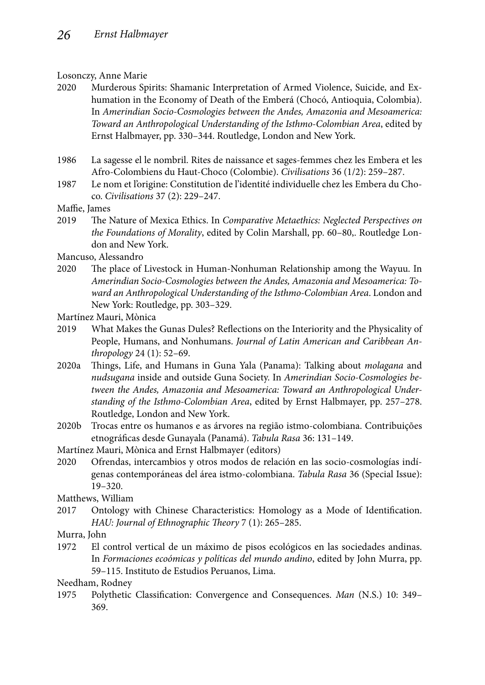#### Losonczy, Anne Marie

- 2020 Murderous Spirits: Shamanic Interpretation of Armed Violence, Suicide, and Exhumation in the Economy of Death of the Emberá (Chocó, Antioquia, Colombia). In *Amerindian Socio-Cosmologies between the Andes, Amazonia and Mesoamerica: Toward an Anthropological Understanding of the Isthmo-Colombian Area*, edited by Ernst Halbmayer, pp. 330–344. Routledge, London and New York.
- 1986 La sagesse el le nombril. Rites de naissance et sages-femmes chez les Embera et les Afro-Colombiens du Haut-Choco (Colombie). *Civilisations* 36 (1/2): 259–287.
- 1987 Le nom et l'origine: Constitution de l'identité individuelle chez les Embera du Choco. *Civilisations* 37 (2): 229–247.
- Maffie, James
- 2019 Th e Nature of Mexica Ethics. In *Comparative Metaethics: Neglected Perspectives on the Foundations of Morality*, edited by Colin Marshall, pp. 60–80,. Routledge London and New York.

Mancuso, Alessandro

- 2020 The place of Livestock in Human-Nonhuman Relationship among the Wayuu. In *Amerindian Socio-Cosmologies between the Andes, Amazonia and Mesoamerica: Toward an Anthropological Understanding of the Isthmo-Colombian Area*. London and New York: Routledge, pp. 303–329.
- Martínez Mauri, Mònica
- 2019 What Makes the Gunas Dules? Reflections on the Interiority and the Physicality of People, Humans, and Nonhumans. *Journal of Latin American and Caribbean Anthropology* 24 (1): 52–69.
- 2020a Th ings, Life, and Humans in Guna Yala (Panama): Talking about *molagana* and *nudsugana* inside and outside Guna Society. In *Amerindian Socio-Cosmologies between the Andes, Amazonia and Mesoamerica: Toward an Anthropological Understanding of the Isthmo-Colombian Area*, edited by Ernst Halbmayer, pp. 257–278. Routledge, London and New York.
- 2020b Trocas entre os humanos e as árvores na região istmo-colombiana. Contribuições etnográfi cas desde Gunayala (Panamá). *Tabula Rasa* 36: 131–149.
- Martínez Mauri, Mònica and Ernst Halbmayer (editors)
- 2020 Ofrendas, intercambios y otros modos de relación en las socio-cosmologías indígenas contemporáneas del área istmo-colombiana. *Tabula Rasa* 36 (Special Issue): 19–320.

Matthews, William

2017 Ontology with Chinese Characteristics: Homology as a Mode of Identification. *HAU: Journal of Ethnographic Theory 7 (1): 265-285.* 

Murra, John

1972 El control vertical de un máximo de pisos ecológicos en las sociedades andinas. In *Formaciones ecoómicas y políticas del mundo andino*, edited by John Murra, pp. 59–115. Instituto de Estudios Peruanos, Lima.

Needham, Rodney

1975 Polythetic Classification: Convergence and Consequences. *Man* (N.S.) 10: 349– 369.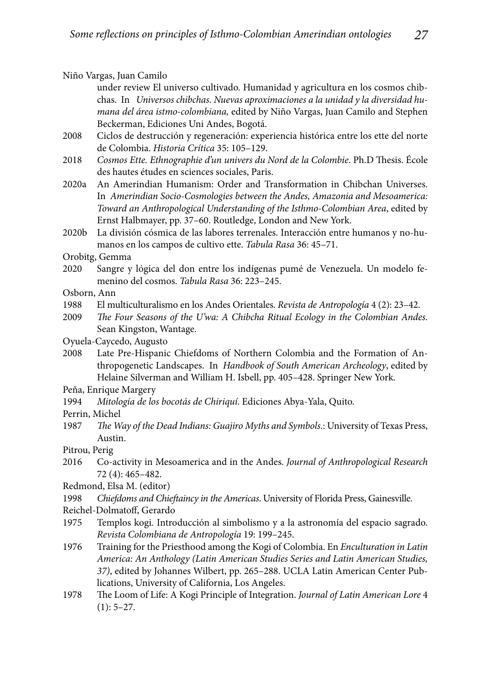Niño Vargas, Juan Camilo

 under review El universo cultivado. Humanidad y agricultura en los cosmos chibchas. In *Universos chibchas. Nuevas aproximaciones a la unidad y la diversidad humana del área istmo-colombiana,* edited by Niño Vargas, Juan Camilo and Stephen Beckerman, Ediciones Uni Andes, Bogotá.

- 2008 Ciclos de destrucción y regeneración: experiencia histórica entre los ette del norte de Colombia. *Historia Crítica* 35: 105–129.
- 2018 *Cosmos Ette. Ethnographie d'un univers du Nord de la Colombie*. Ph.D Thesis. École des hautes études en sciences sociales, Paris.
- 2020a An Amerindian Humanism: Order and Transformation in Chibchan Universes. In *Amerindian Socio-Cosmologies between the Andes, Amazonia and Mesoamerica: Toward an Anthropological Understanding of the Isthmo-Colombian Area*, edited by Ernst Halbmayer, pp. 37–60. Routledge, London and New York.
- 2020b La división cósmica de las labores terrenales. Interacción entre humanos y no-humanos en los campos de cultivo ette. *Tabula Rasa* 36: 45–71.

Orobitg, Gemma

- 2020 Sangre y lógica del don entre los indígenas pumé de Venezuela. Un modelo femenino del cosmos. *Tabula Rasa* 36: 223–245.
- Osborn, Ann
- 1988 El multiculturalismo en los Andes Orientales. *Revista de Antropología* 4 (2): 23–42.
- 2009 *The Four Seasons of the U'wa: A Chibcha Ritual Ecology in the Colombian Andes.* Sean Kingston, Wantage.
- Oyuela-Caycedo, Augusto
- 2008 Late Pre-Hispanic Chiefdoms of Northern Colombia and the Formation of Anthropogenetic Landscapes. In *Handbook of South American Archeology*, edited by Helaine Silverman and William H. Isbell, pp. 405–428. Springer New York.
- Peña, Enrique Margery
- 1994 *Mitología de los bocotás de Chiriquí*. Ediciones Abya-Yala, Quito.
- Perrin, Michel
- 1987 The Way of the Dead Indians: Guajiro Myths and Symbols.: University of Texas Press, Austin.
- Pitrou, Perig
- 2016 Co-activity in Mesoamerica and in the Andes. *Journal of Anthropological Research*  72 (4): 465–482.
- Redmond, Elsa M. (editor)
- 1998 Chiefdoms and Chieftaincy in the Americas. University of Florida Press, Gainesville.
- Reichel-Dolmatoff, Gerardo
- 1975 Templos kogi. Introducción al simbolismo y a la astronomía del espacio sagrado. *Revista Colombiana de Antropología* 19: 199–245.
- 1976 Training for the Priesthood among the Kogi of Colombia. En *Enculturation in Latin America: An Anthology (Latin American Studies Series and Latin American Studies, 37)*, edited by Johannes Wilbert, pp. 265–288. UCLA Latin American Center Publications, University of California, Los Angeles.
- 1978 Th e Loom of Life: A Kogi Principle of Integration. *Journal of Latin American Lore* 4  $(1): 5-27.$